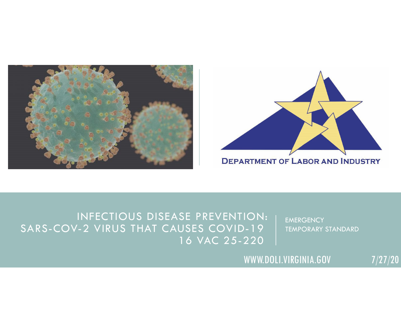



#### INFECTIOUS DISEASE PREVENTION: SARS-COV-2 VIRUS THAT CAUSES COVID-19 16 VAC 25-220

**EMERGENCY** TEMPORARY STANDARD

WWW.DOLI.VIRGINIA.GOV 7/27/20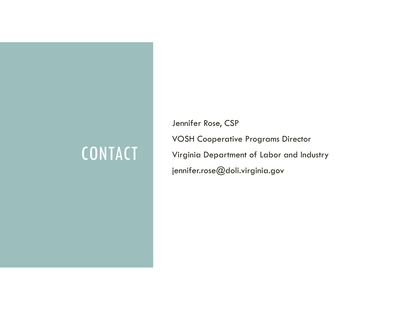## CONTACT

Jennifer Rose, CSP VOSH Cooperative Programs Director Virginia Department of Labor and Industry jennifer.rose@doli.virginia.gov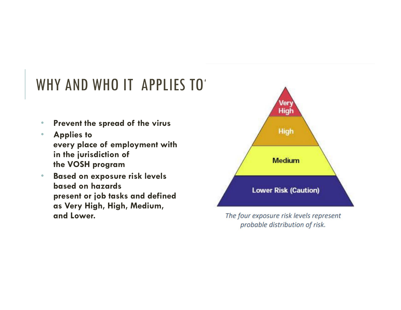### WHY AND WHO IT APPLIES TO

- $\bullet$ **Prevent the spread of the virus**
- • **Applies to every place of employment with in the jurisdiction of the VOSH program**
- $\bullet$  **Based on exposure risk levels based on hazards present or job tasks and defined as Very High, High, Medium, and Lower.**



The four exposure risk levels represent probable distribution of risk.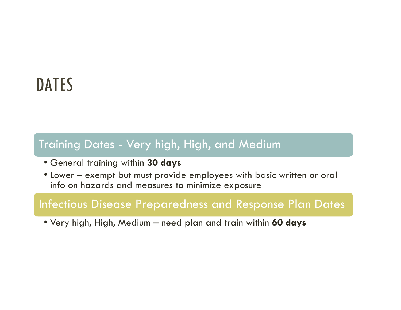## DATES

#### Training Dates - Very high, High, and Medium

- General training within **30 days**
- Lower exempt but must provide employees with basic written or oral info on hazards and measures to minimize exposure

#### Infectious Disease Preparedness and Response Plan Dates

• Very high, High, Medium – need plan and train within **60 days**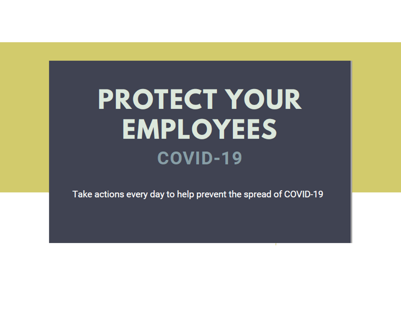# **PROTECT YOUR EMPLOYEES** COVID-19

Take actions every day to help prevent the spread of COVID-19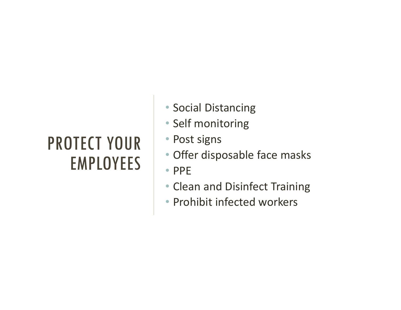## PROTECT YOUR EMPLOYEES

- Social Distancing
- Self monitoring
- Post signs
- Offer disposable face masks
- PPE
- Clean and Disinfect Training
- Prohibit infected workers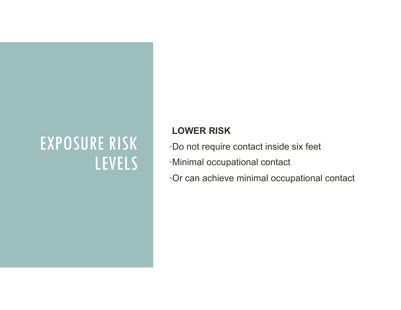#### **LOWER RISK**

- •Do not require contact inside six feet
- •Minimal occupational contact
- •Or can achieve minimal occupational contact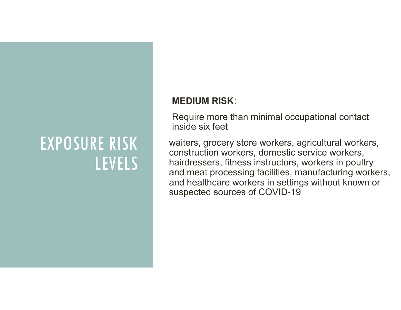#### **MEDIUM RISK**:

Require more than minimal occupational contact inside six feet

waiters, grocery store workers, agricultural workers, construction workers, domestic service workers, hairdressers, fitness instructors, workers in poultry and meat processing facilities, manufacturing workers, and healthcare workers in settings without known or suspected sources of COVID-19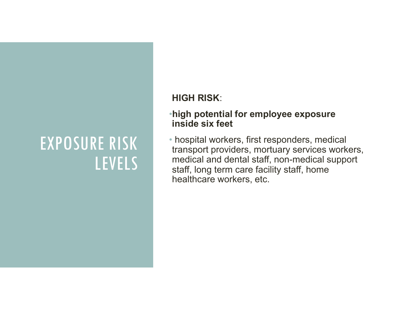#### **HIGH RISK**:

#### •**high potential for employee exposure inside six feet**

• hospital workers, first responders, medical transport providers, mortuary services workers, medical and dental staff, non-medical support staff, long term care facility staff, home healthcare workers, etc.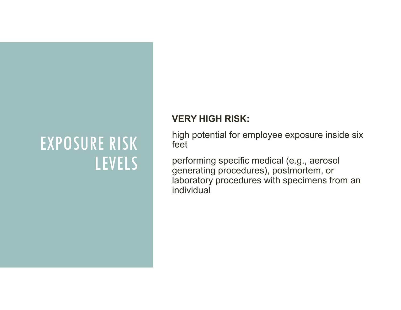#### **VERY HIGH RISK:**

high potential for employee exposure inside six feet

performing specific medical (e.g., aerosol generating procedures), postmortem, or laboratory procedures with specimens from an individual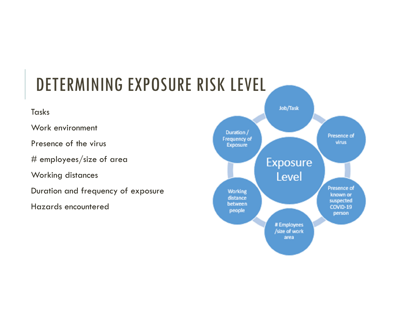## DETERMINING EXPOSURE RISK LEVEL

#### Tasks

Work environment

Presence of the virus

# employees/size of area

Working distances

Duration and frequency of exposure

Hazards encountered

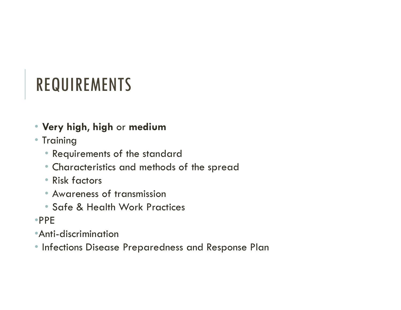## REQUIREMENTS

- **Very high**, **high** or **medium**
- Training
	- Requirements of the standard
	- Characteristics and methods of the spread
	- Risk factors
	- Awareness of transmission
	- Safe & Health Work Practices
- •PPE
- •Anti-discrimination
- Infections Disease Preparedness and Response Plan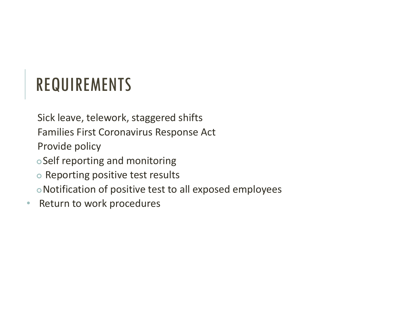## REQUIREMENTS

Sick leave, telework, staggered shifts

Families First Coronavirus Response Act

Provide policy

- oSelf reporting and monitoring
- o Reporting positive test results

oNotification of positive test to all exposed employees

 $\bullet$ • Return to work procedures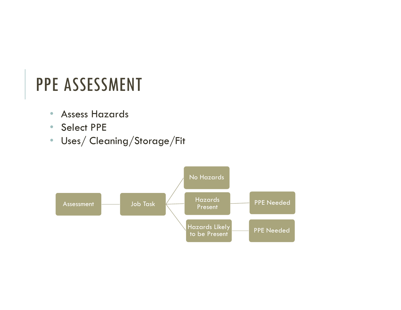## PPE ASSESSMENT

- Assess Hazards
- Select PPE
- Uses/ Cleaning/Storage/Fit

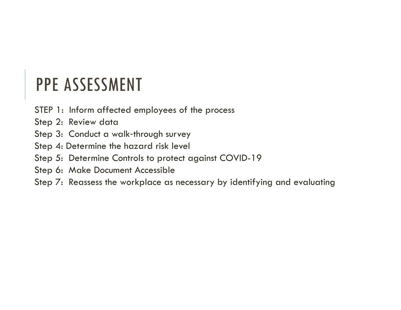## PPE ASSESSMENT

- STEP 1: Inform affected employees of the process
- Step 2: Review data
- Step 3: Conduct a walk-through survey
- Step 4: Determine the hazard risk level
- Step 5: Determine Controls to protect against COVID-19
- Step 6: Make Document Accessible
- Step 7: Reassess the workplace as necessary by identifying and evaluating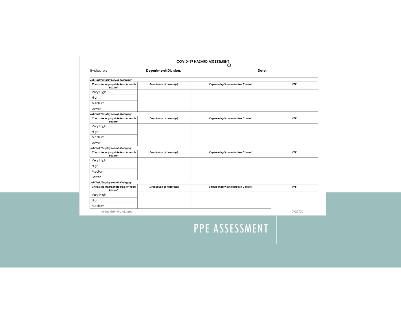|                                               |                                  | <b>COVID-19 HAZARD ASSESSMENT</b>          |         |
|-----------------------------------------------|----------------------------------|--------------------------------------------|---------|
| Evaluator:                                    | <b>Department/Division:</b>      | Date:                                      |         |
| Job Task/Employee/Job Category                |                                  |                                            |         |
| Check the appropriate box for each<br>hazard: | Description of hazard(s):        | <b>Engineering/Administrative Controls</b> | PPE     |
| Very High                                     |                                  |                                            |         |
| High                                          |                                  |                                            |         |
| Medium                                        |                                  |                                            |         |
| Lower                                         |                                  |                                            |         |
| Job Task/Employee/Job Category                |                                  |                                            |         |
| Check the appropriate box for each<br>hazard: | Description of hazard(s):        | <b>Engineering/Administrative Controls</b> | PPE     |
| Very High                                     |                                  |                                            |         |
| High                                          |                                  |                                            |         |
| Medium                                        |                                  |                                            |         |
| Lower                                         |                                  |                                            |         |
| Job Task/Employee/Job Category                |                                  |                                            |         |
| Check the appropriate box for each<br>hazard: | <b>Description of hazard(s):</b> | <b>Engineering/Administrative Controls</b> | PPE     |
| Very High                                     |                                  |                                            |         |
| High                                          |                                  |                                            |         |
| Medium                                        |                                  |                                            |         |
| Lower                                         |                                  |                                            |         |
| Job Task/Employee/Job Category                |                                  |                                            |         |
| Check the appropriate box for each<br>hazard: | Description of hazard(s):        | <b>Engineering/Administrative Controls</b> | PPE     |
| Very High                                     |                                  |                                            |         |
| High                                          |                                  |                                            |         |
| Medium                                        |                                  |                                            |         |
| www.doli.virginia.gov                         |                                  |                                            | 7/27/20 |

#### PPE ASSESSMENT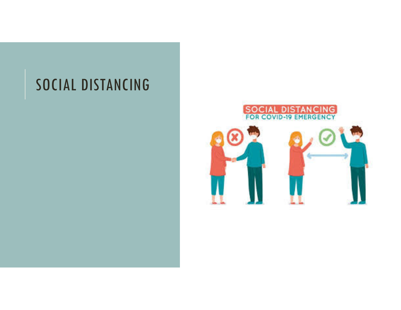### SOCIAL DISTANCING

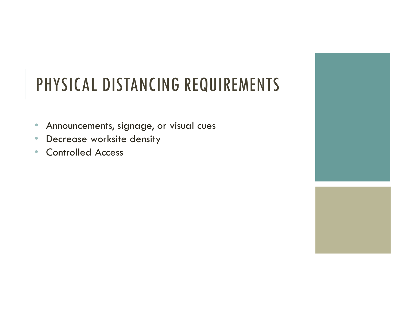## PHYSICAL DISTANCING REQUIREMENTS

- $\bullet$ Announcements, signage, or visual cues
- •Decrease worksite density
- $\bullet$ Controlled Access

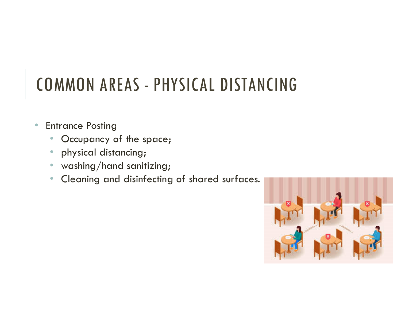## COMMON AREAS - PHYSICAL DISTANCING

- $\bullet$  Entrance Posting
	- •Occupancy of the space;
	- •physical distancing;
	- $\bullet\;$  washing/hand sanitizing;
	- •Cleaning and disinfecting of shared surfaces.

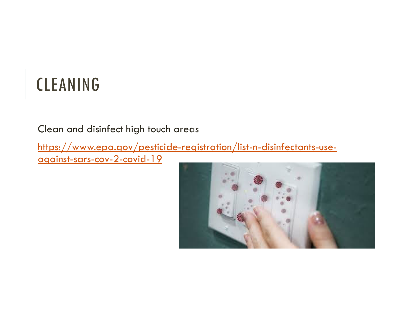## CLEANING

Clean and disinfect high touch areas

https://www.epa.gov/pesticide-registration/list-n-disinfectants-useagainst-sars-cov-2-covid-19

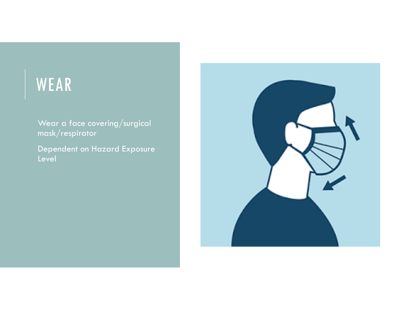### WEAR

Wear a face covering/surgical mask/respirator

Dependent on Hazard Exposure Level

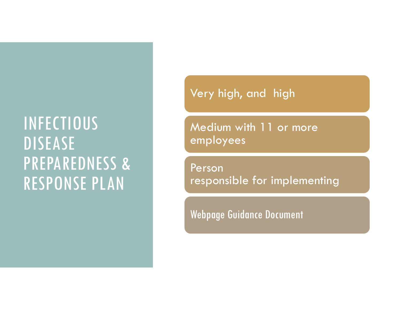#### Very high, and high

Medium with 11 or more employees

Person responsible for implementing

Webpage Guidance Document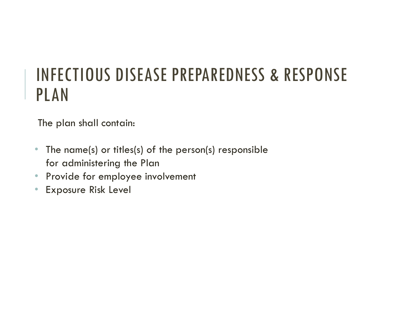- • The name(s) or titles(s) of the person(s) responsible for administering the Plan
- •Provide for employee involvement
- $\bullet$ Exposure Risk Level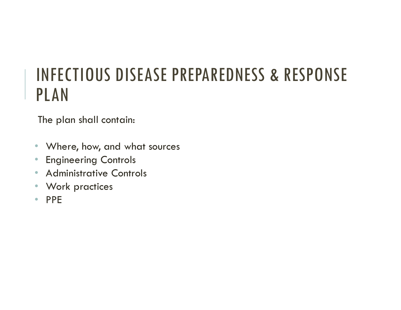- Where, how, and what sources
- •Engineering Controls
- $\bullet$ Administrative Controls
- $\bullet$ Work practices
- $\bullet$ PPE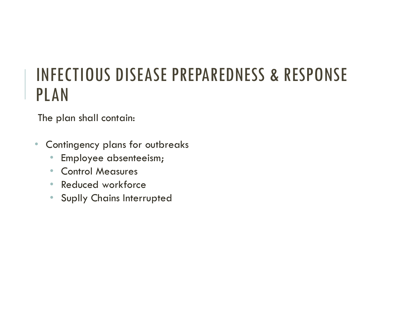- $\bullet$  Contingency plans for outbreaks
	- $\bullet$ Employee absenteeism;
	- Control Measures
	- Reduced workforce
	- Suplly Chains Interrupted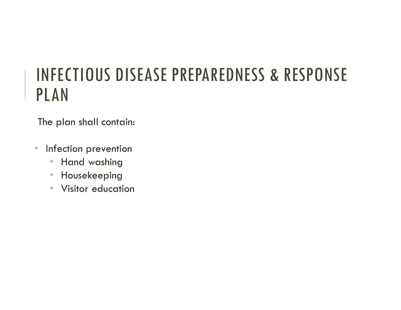- • Infection prevention
	- •Hand washing
	- •Housekeeping
	- Visitor education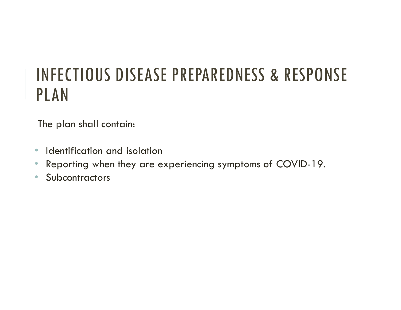- $\bullet$ • Identification and isolation
- •Reporting when they are experiencing symptoms of COVID-19.
- $\bullet$ **Subcontractors**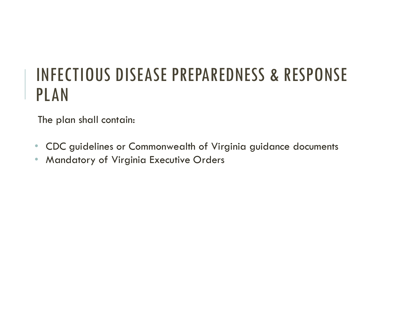- $\bullet$ CDC guidelines or Commonwealth of Virginia guidance documents
- •Mandatory of Virginia Executive Orders